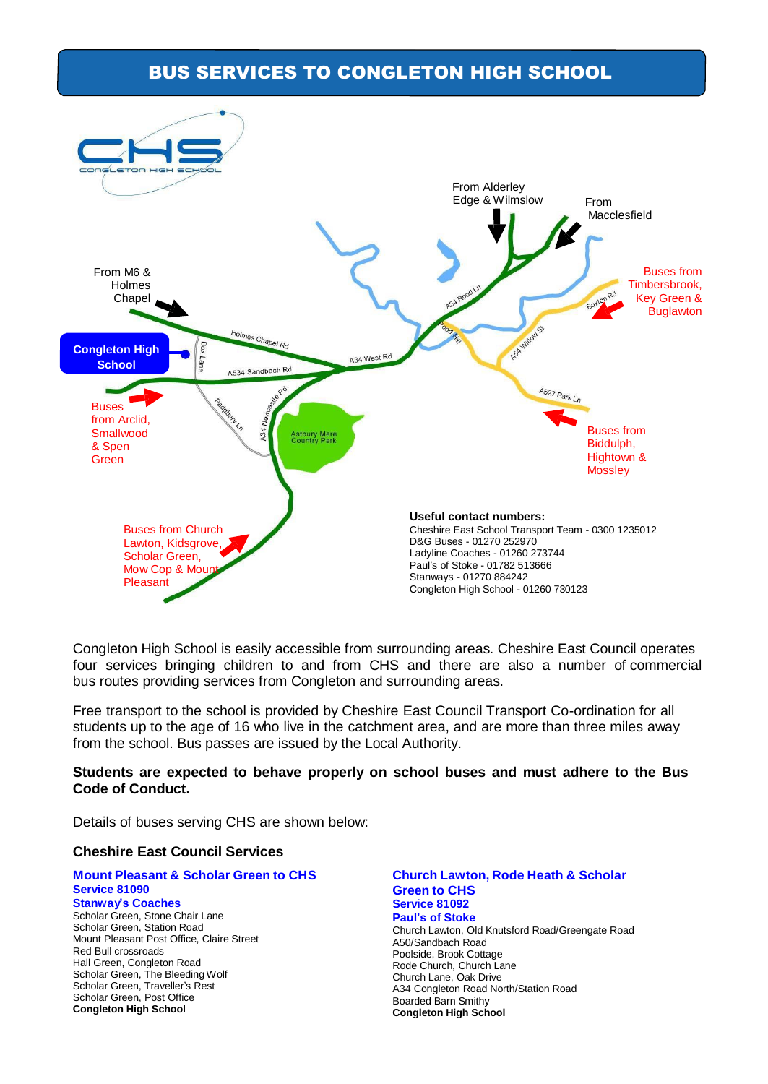## BUS SERVICES TO CONGLETON HIGH SCHOOL



Congleton High School is easily accessible from surrounding areas. Cheshire East Council operates four services bringing children to and from CHS and there are also a number of commercial bus routes providing services from Congleton and surrounding areas.

Free transport to the school is provided by Cheshire East Council Transport Co-ordination for all students up to the age of 16 who live in the catchment area, and are more than three miles away from the school. Bus passes are issued by the Local Authority.

### **Students are expected to behave properly on school buses and must adhere to the Bus Code of Conduct.**

Details of buses serving CHS are shown below:

### **Cheshire East Council Services**

#### **Mount Pleasant & Scholar Green to CHS Service 81090 Stanway's Coaches** Scholar Green, Stone Chair Lane Scholar Green, Station Road Mount Pleasant Post Office, Claire Street Red Bull crossroads Hall Green, Congleton Road Scholar Green, The Bleeding Wolf Scholar Green, Traveller's Rest

Scholar Green, Post Office **Congleton High School**

**Church Lawton, Rode Heath & Scholar Green to CHS Service 81092 Paul's of Stoke** Church Lawton, Old Knutsford Road/Greengate Road A50/Sandbach Road Poolside, Brook Cottage Rode Church, Church Lane Church Lane, Oak Drive A34 Congleton Road North/Station Road Boarded Barn Smithy **Congleton High School**